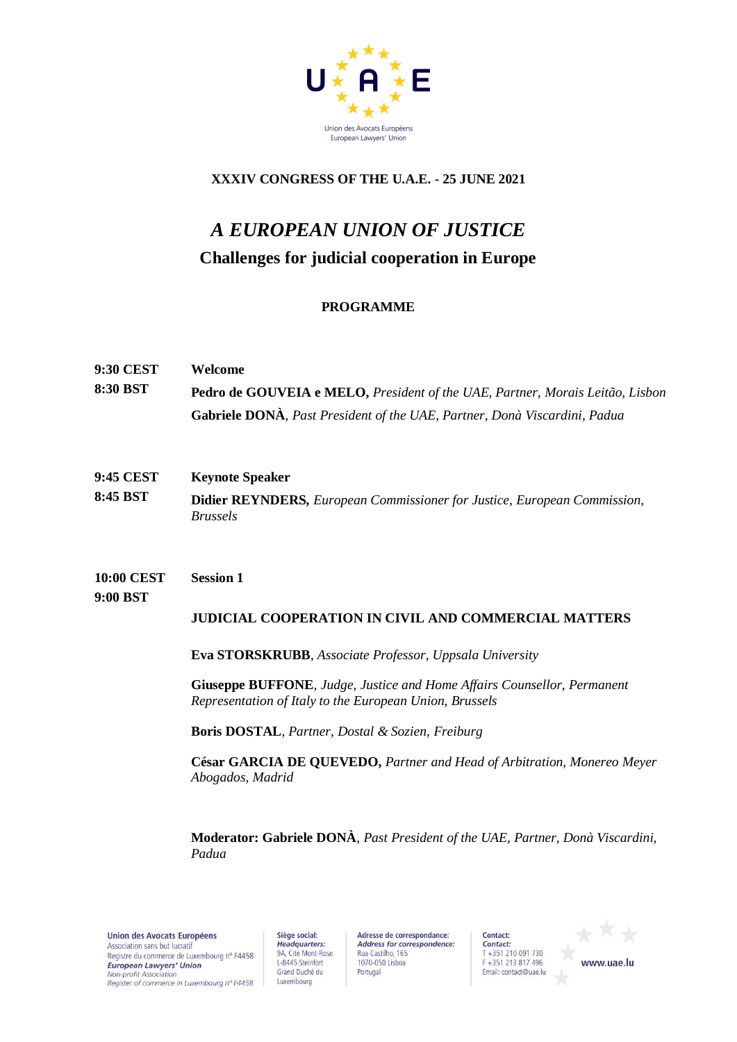

## **XXXIV CONGRESS OF THE U.A.E. - 25 JUNE 2021**

# *A EUROPEAN UNION OF JUSTICE* **Challenges for judicial cooperation in Europe**

## **PROGRAMME**

- **9:30 CEST 8:30 BST Welcome Pedro de GOUVEIA e MELO,** *President of the UAE, Partner, Morais Leitão, Lisbon* **Gabriele DONÀ**, *Past President of the UAE, Partner, Donà Viscardini, Padua*
- **9:45 CEST 8:45 BST Keynote Speaker Didier REYNDERS***, European Commissioner for Justice, European Commission, Brussels*

**10:00 CEST 9:00 BST Session 1** 

## **JUDICIAL COOPERATION IN CIVIL AND COMMERCIAL MATTERS**

**Eva STORSKRUBB**, *Associate Professor, Uppsala University* 

**Giuseppe BUFFONE***, Judge, Justice and Home Affairs Counsellor, Permanent Representation of Italy to the European Union, Brussels* 

**Boris DOSTAL**, *Partner, Dostal & Sozien, Freiburg*

**César GARCIA DE QUEVEDO,** *Partner and Head of Arbitration, Monereo Meyer Abogados, Madrid*

**Moderator: Gabriele DONÀ**, *Past President of the UAE, Partner, Donà Viscardini, Padua*

**Union des Avocats Européens** Association sans but lucratif Registre du commerce de Luxembourg n° F4458 European Lawyers' Union Non-profit Association Register of commerce in Luxembourg nº F4458

Siège social: Headquarters:<br>
9A, Cité Mont-Rose L-8445 Steinfort Grand Duché du Luxembourg

Adresse de correspondance: Address for correspondence: Rua Castilho, 165 1070-050 Lisboa Portugal

Contact: Contact:  $T + 351210091730$ F +351 213 817 496 Email: contact@uae.lu